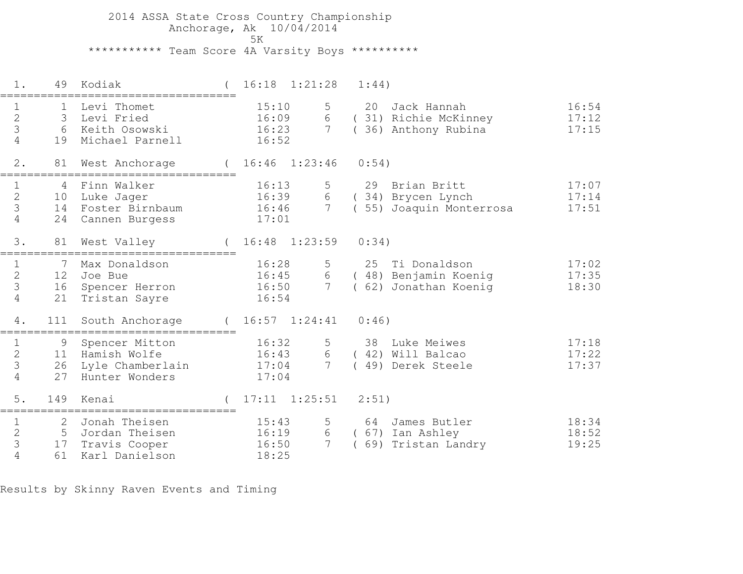2014 ASSA State Cross Country Championship Anchorage, Ak 10/04/2014ta di kacamatan ing Kabupatèn Kabupatèn Kabupatèn Kabupatèn Kabupatèn Kabupatèn Kabupatèn Kabupatèn K \*\*\*\*\*\*\*\*\*\*\* Team Score 4A Varsity Boys \*\*\*\*\*\*\*\*\*\*

 1. 49 Kodiak ( 16:18 1:21:28 1:44)=================================== 1 1 Levi Thomet 15:10 5 20 Jack Hannah 16:54 2 3 Levi Fried 16:09 6 ( 31) Richie McKinney 17:12 3 6 Keith Osowski 16:23 7 ( 36) Anthony Rubina 17:15 4 19 Michael Parnell 16:52 2. 81 West Anchorage ( 16:46 1:23:46 0:54)=================================== 1 4 Finn Walker 16:13 5 29 Brian Britt 17:07 2 10 Luke Jager 16:39 6 ( 34) Brycen Lynch 17:14 3 14 Foster Birnbaum 16:46 7 ( 55) Joaquin Monterrosa 17:51 4 24 Cannen Burgess 17:01 3. 81 West Valley ( 16:48 1:23:59 0:34)=================================== 1 7 Max Donaldson 16:28 5 25 Ti Donaldson 17:02 2 12 Joe Bue 16:45 6 ( 48) Benjamin Koenig 17:35 3 16 Spencer Herron 16:50 7 ( 62) Jonathan Koenig 18:30 4 21 Tristan Sayre 16:54 4. 111 South Anchorage ( 16:57 1:24:41 0:46)===================================1 9 Spencer Mitton 16:32 5 38 Luke Meiwes 17:18<br>2 11 Hamish Wolfe 16:43 6 (42) Will Balcao 17:22<br>3 26 Lyle Chamberlain 17:04 7 (49) Derek Steele 17:37<br>4 27 Hunter Wonders 17:04 5. 149 Kenai ( 17:11 1:25:51 2:51)=================================== 1 2 Jonah Theisen 15:43 5 64 James Butler 18:342 5 Jordan Theisen 16:19 6 ( 67) Ian Ashley 18:52 3 17 Travis Cooper 16:50 7 ( 69) Tristan Landry 19:25 4 61 Karl Danielson 18:25

Results by Skinny Raven Events and Timing